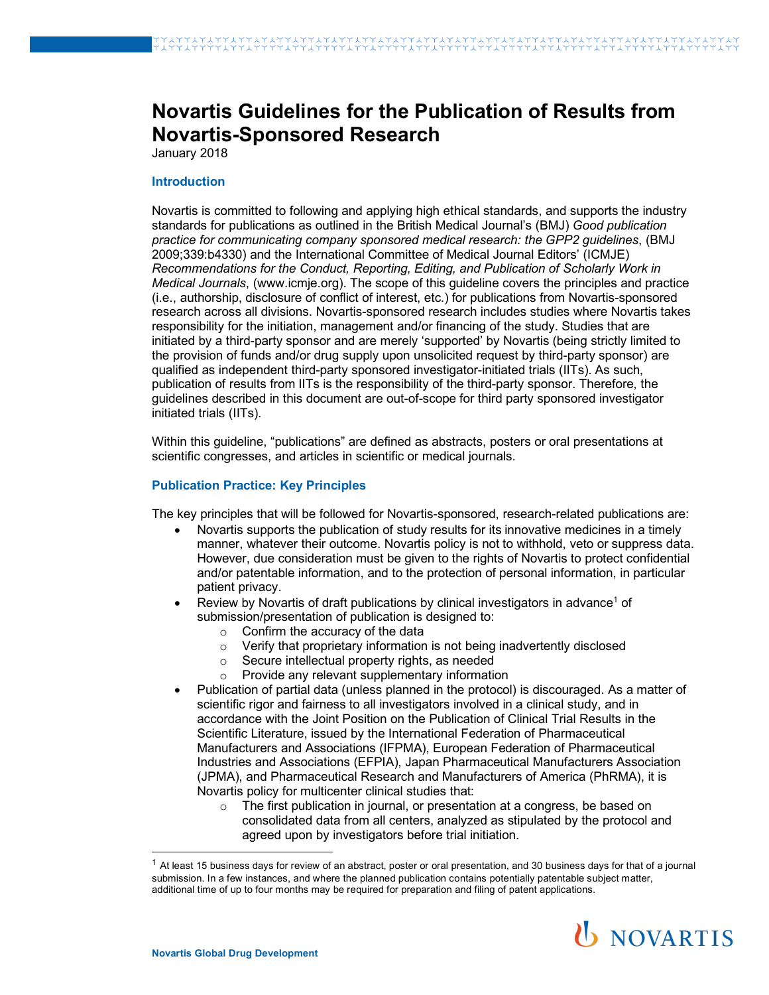# **Novartis Guidelines for the Publication of Results from Novartis-Sponsored Research**

January 2018

#### **Introduction**

Novartis is committed to following and applying high ethical standards, and supports the industry standards for publications as outlined in the British Medical Journal's (BMJ) *Good publication practice for communicating company sponsored medical research: the GPP2 guidelines*, (BMJ 2009;339:b4330) and the International Committee of Medical Journal Editors' (ICMJE) *Recommendations for the Conduct, Reporting, Editing, and Publication of Scholarly Work in Medical Journals*, (www.icmje.org). The scope of this guideline covers the principles and practice (i.e., authorship, disclosure of conflict of interest, etc.) for publications from Novartis-sponsored research across all divisions. Novartis-sponsored research includes studies where Novartis takes responsibility for the initiation, management and/or financing of the study. Studies that are initiated by a third-party sponsor and are merely 'supported' by Novartis (being strictly limited to the provision of funds and/or drug supply upon unsolicited request by third-party sponsor) are qualified as independent third-party sponsored investigator-initiated trials (IITs). As such, publication of results from IITs is the responsibility of the third-party sponsor. Therefore, the guidelines described in this document are out-of-scope for third party sponsored investigator initiated trials (IITs).

Within this guideline, "publications" are defined as abstracts, posters or oral presentations at scientific congresses, and articles in scientific or medical journals.

## **Publication Practice: Key Principles**

The key principles that will be followed for Novartis-sponsored, research-related publications are:

- Novartis supports the publication of study results for its innovative medicines in a timely manner, whatever their outcome. Novartis policy is not to withhold, veto or suppress data. However, due consideration must be given to the rights of Novartis to protect confidential and/or patentable information, and to the protection of personal information, in particular patient privacy.
- Review by Novartis of draft publications by clinical investigators in advance<sup>1</sup> of submission/presentation of publication is designed to:
	- $\circ$  Confirm the accuracy of the data
	- o Verify that proprietary information is not being inadvertently disclosed
	- o Secure intellectual property rights, as needed
	- o Provide any relevant supplementary information
- Publication of partial data (unless planned in the protocol) is discouraged. As a matter of scientific rigor and fairness to all investigators involved in a clinical study, and in accordance with the Joint Position on the Publication of Clinical Trial Results in the Scientific Literature, issued by the International Federation of Pharmaceutical Manufacturers and Associations (IFPMA), European Federation of Pharmaceutical Industries and Associations (EFPIA), Japan Pharmaceutical Manufacturers Association (JPMA), and Pharmaceutical Research and Manufacturers of America (PhRMA), it is Novartis policy for multicenter clinical studies that:
	- o The first publication in journal, or presentation at a congress, be based on consolidated data from all centers, analyzed as stipulated by the protocol and agreed upon by investigators before trial initiation.

 $1$  At least 15 business days for review of an abstract, poster or oral presentation, and 30 business days for that of a journal submission. In a few instances, and where the planned publication contains potentially patentable subject matter, additional time of up to four months may be required for preparation and filing of patent applications.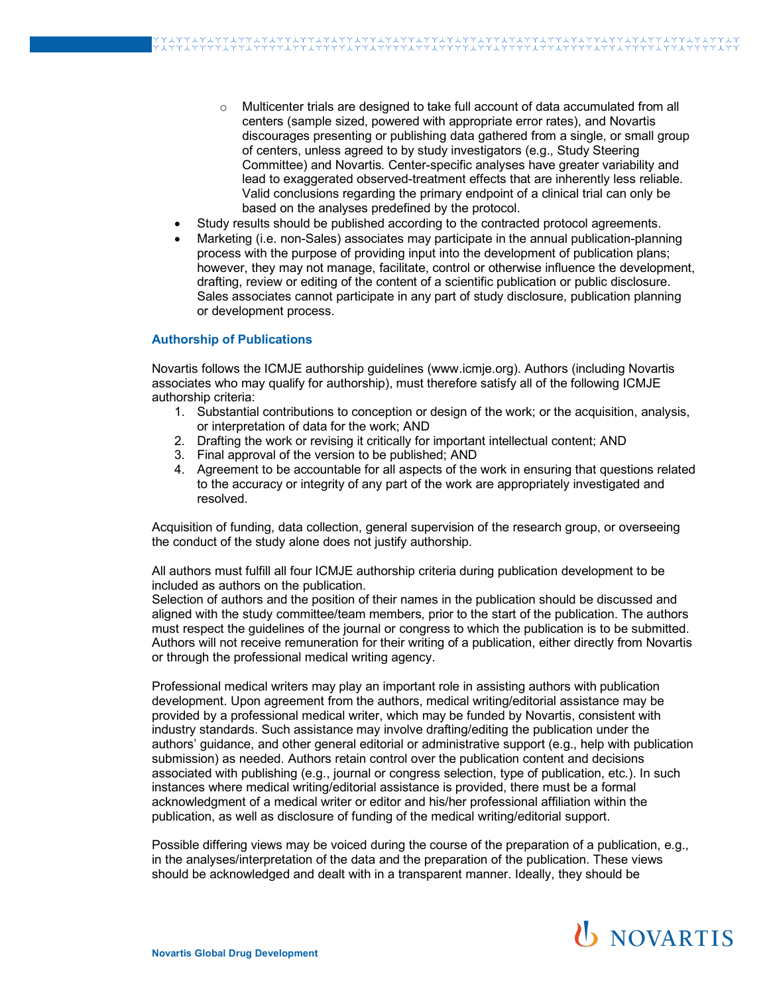- $\circ$  Multicenter trials are designed to take full account of data accumulated from all centers (sample sized, powered with appropriate error rates), and Novartis discourages presenting or publishing data gathered from a single, or small group of centers, unless agreed to by study investigators (e.g., Study Steering Committee) and Novartis. Center-specific analyses have greater variability and lead to exaggerated observed-treatment effects that are inherently less reliable. Valid conclusions regarding the primary endpoint of a clinical trial can only be based on the analyses predefined by the protocol.
- Study results should be published according to the contracted protocol agreements.
- Marketing (i.e. non-Sales) associates may participate in the annual publication-planning process with the purpose of providing input into the development of publication plans; however, they may not manage, facilitate, control or otherwise influence the development, drafting, review or editing of the content of a scientific publication or public disclosure. Sales associates cannot participate in any part of study disclosure, publication planning or development process.

## **Authorship of Publications**

Novartis follows the ICMJE authorship guidelines (www.icmje.org). Authors (including Novartis associates who may qualify for authorship), must therefore satisfy all of the following ICMJE authorship criteria:

- 1. Substantial contributions to conception or design of the work; or the acquisition, analysis, or interpretation of data for the work; AND
- 2. Drafting the work or revising it critically for important intellectual content; AND
- 3. Final approval of the version to be published; AND
- 4. Agreement to be accountable for all aspects of the work in ensuring that questions related to the accuracy or integrity of any part of the work are appropriately investigated and resolved.

Acquisition of funding, data collection, general supervision of the research group, or overseeing the conduct of the study alone does not justify authorship.

All authors must fulfill all four ICMJE authorship criteria during publication development to be included as authors on the publication.

Selection of authors and the position of their names in the publication should be discussed and aligned with the study committee/team members, prior to the start of the publication. The authors must respect the guidelines of the journal or congress to which the publication is to be submitted. Authors will not receive remuneration for their writing of a publication, either directly from Novartis or through the professional medical writing agency.

Professional medical writers may play an important role in assisting authors with publication development. Upon agreement from the authors, medical writing/editorial assistance may be provided by a professional medical writer, which may be funded by Novartis, consistent with industry standards. Such assistance may involve drafting/editing the publication under the authors' guidance, and other general editorial or administrative support (e.g., help with publication submission) as needed. Authors retain control over the publication content and decisions associated with publishing (e.g., journal or congress selection, type of publication, etc.). In such instances where medical writing/editorial assistance is provided, there must be a formal acknowledgment of a medical writer or editor and his/her professional affiliation within the publication, as well as disclosure of funding of the medical writing/editorial support.

Possible differing views may be voiced during the course of the preparation of a publication, e.g., in the analyses/interpretation of the data and the preparation of the publication. These views should be acknowledged and dealt with in a transparent manner. Ideally, they should be

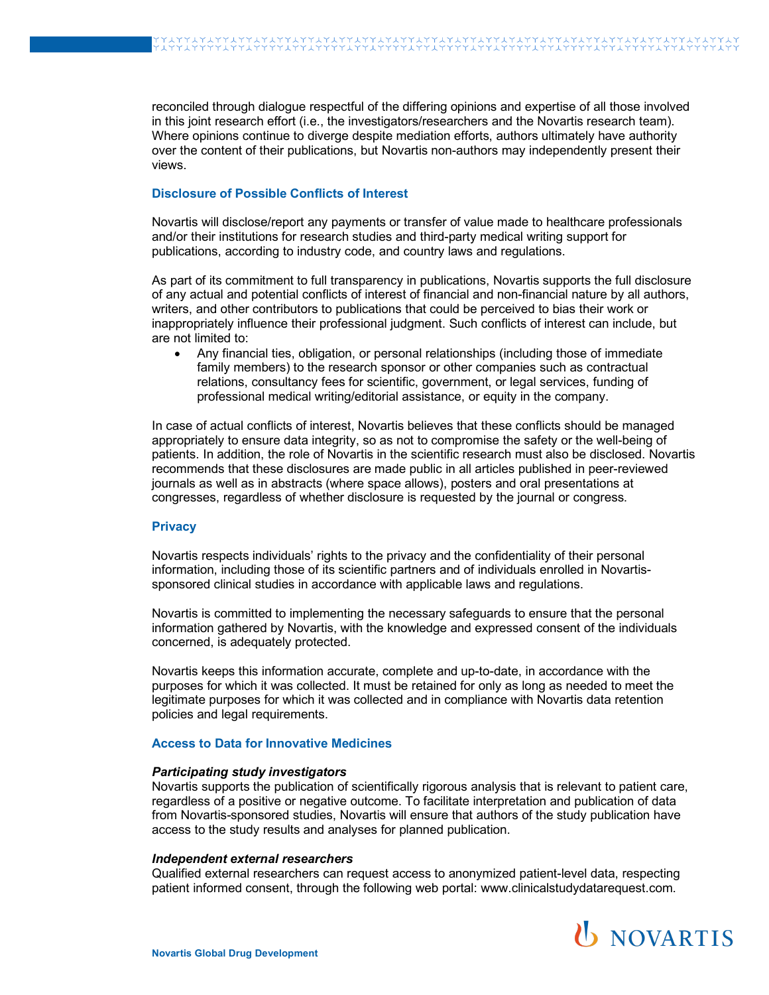reconciled through dialogue respectful of the differing opinions and expertise of all those involved in this joint research effort (i.e., the investigators/researchers and the Novartis research team). Where opinions continue to diverge despite mediation efforts, authors ultimately have authority over the content of their publications, but Novartis non-authors may independently present their views.

## **Disclosure of Possible Conflicts of Interest**

Novartis will disclose/report any payments or transfer of value made to healthcare professionals and/or their institutions for research studies and third-party medical writing support for publications, according to industry code, and country laws and regulations.

As part of its commitment to full transparency in publications, Novartis supports the full disclosure of any actual and potential conflicts of interest of financial and non-financial nature by all authors, writers, and other contributors to publications that could be perceived to bias their work or inappropriately influence their professional judgment. Such conflicts of interest can include, but are not limited to:

• Any financial ties, obligation, or personal relationships (including those of immediate family members) to the research sponsor or other companies such as contractual relations, consultancy fees for scientific, government, or legal services, funding of professional medical writing/editorial assistance, or equity in the company.

In case of actual conflicts of interest, Novartis believes that these conflicts should be managed appropriately to ensure data integrity, so as not to compromise the safety or the well-being of patients. In addition, the role of Novartis in the scientific research must also be disclosed. Novartis recommends that these disclosures are made public in all articles published in peer-reviewed journals as well as in abstracts (where space allows), posters and oral presentations at congresses, regardless of whether disclosure is requested by the journal or congress.

## **Privacy**

Novartis respects individuals' rights to the privacy and the confidentiality of their personal information, including those of its scientific partners and of individuals enrolled in Novartissponsored clinical studies in accordance with applicable laws and regulations.

Novartis is committed to implementing the necessary safeguards to ensure that the personal information gathered by Novartis, with the knowledge and expressed consent of the individuals concerned, is adequately protected.

Novartis keeps this information accurate, complete and up-to-date, in accordance with the purposes for which it was collected. It must be retained for only as long as needed to meet the legitimate purposes for which it was collected and in compliance with Novartis data retention policies and legal requirements.

## **Access to Data for Innovative Medicines**

#### *Participating study investigators*

Novartis supports the publication of scientifically rigorous analysis that is relevant to patient care, regardless of a positive or negative outcome. To facilitate interpretation and publication of data from Novartis-sponsored studies, Novartis will ensure that authors of the study publication have access to the study results and analyses for planned publication.

#### *Independent external researchers*

Qualified external researchers can request access to anonymized patient-level data, respecting patient informed consent, through the following web portal: www.clinicalstudydatarequest.com.